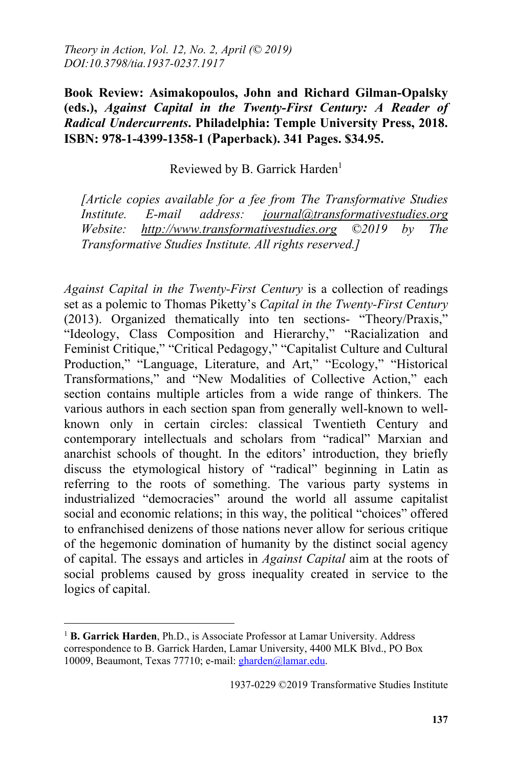**Book Review: Asimakopoulos, John and Richard Gilman-Opalsky (eds.),** *Against Capital in the Twenty-First Century: A Reader of Radical Undercurrents***. Philadelphia: Temple University Press, 2018. ISBN: 978-1-4399-1358-1 (Paperback). 341 Pages. \$34.95.**

## Reviewed by B. Garrick Harden<sup>1</sup>

*[Article copies available for a fee from The Transformative Studies Institute. E-mail address: journal@transformativestudies.org Website: http://www.transformativestudies.org ©2019 by The Transformative Studies Institute. All rights reserved.]*

*Against Capital in the Twenty-First Century* is a collection of readings set as a polemic to Thomas Piketty's *Capital in the Twenty-First Century*  (2013). Organized thematically into ten sections- "Theory/Praxis," "Ideology, Class Composition and Hierarchy," "Racialization and Feminist Critique," "Critical Pedagogy," "Capitalist Culture and Cultural Production," "Language, Literature, and Art," "Ecology," "Historical Transformations," and "New Modalities of Collective Action," each section contains multiple articles from a wide range of thinkers. The various authors in each section span from generally well-known to wellknown only in certain circles: classical Twentieth Century and contemporary intellectuals and scholars from "radical" Marxian and anarchist schools of thought. In the editors' introduction, they briefly discuss the etymological history of "radical" beginning in Latin as referring to the roots of something. The various party systems in industrialized "democracies" around the world all assume capitalist social and economic relations; in this way, the political "choices" offered to enfranchised denizens of those nations never allow for serious critique of the hegemonic domination of humanity by the distinct social agency of capital. The essays and articles in *Against Capital* aim at the roots of social problems caused by gross inequality created in service to the logics of capital.

 $\overline{a}$ 

<sup>&</sup>lt;sup>1</sup> **B. Garrick Harden**, Ph.D., is Associate Professor at Lamar University. Address correspondence to B. Garrick Harden, Lamar University, 4400 MLK Blvd., PO Box 10009, Beaumont, Texas 77710; e-mail: gharden@lamar.edu.

<sup>1937-0229 ©2019</sup> Transformative Studies Institute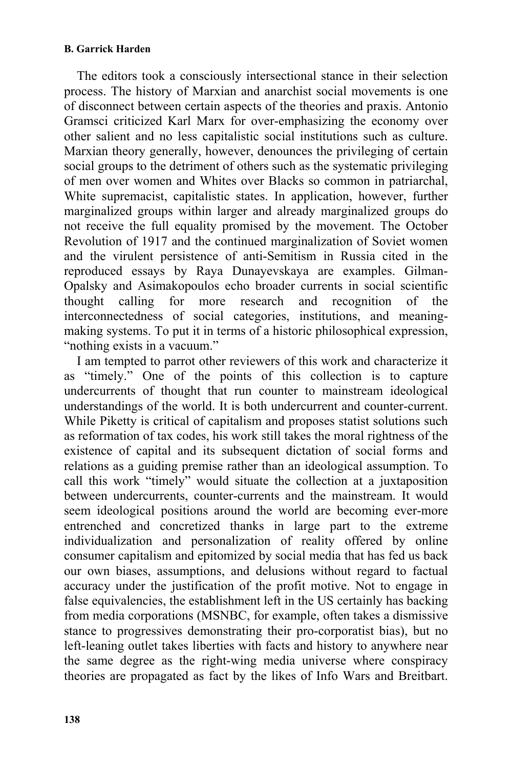## **B. Garrick Harden**

The editors took a consciously intersectional stance in their selection process. The history of Marxian and anarchist social movements is one of disconnect between certain aspects of the theories and praxis. Antonio Gramsci criticized Karl Marx for over-emphasizing the economy over other salient and no less capitalistic social institutions such as culture. Marxian theory generally, however, denounces the privileging of certain social groups to the detriment of others such as the systematic privileging of men over women and Whites over Blacks so common in patriarchal, White supremacist, capitalistic states. In application, however, further marginalized groups within larger and already marginalized groups do not receive the full equality promised by the movement. The October Revolution of 1917 and the continued marginalization of Soviet women and the virulent persistence of anti-Semitism in Russia cited in the reproduced essays by Raya Dunayevskaya are examples. Gilman-Opalsky and Asimakopoulos echo broader currents in social scientific thought calling for more research and recognition of the interconnectedness of social categories, institutions, and meaningmaking systems. To put it in terms of a historic philosophical expression, "nothing exists in a vacuum."

I am tempted to parrot other reviewers of this work and characterize it as "timely." One of the points of this collection is to capture undercurrents of thought that run counter to mainstream ideological understandings of the world. It is both undercurrent and counter-current. While Piketty is critical of capitalism and proposes statist solutions such as reformation of tax codes, his work still takes the moral rightness of the existence of capital and its subsequent dictation of social forms and relations as a guiding premise rather than an ideological assumption. To call this work "timely" would situate the collection at a juxtaposition between undercurrents, counter-currents and the mainstream. It would seem ideological positions around the world are becoming ever-more entrenched and concretized thanks in large part to the extreme individualization and personalization of reality offered by online consumer capitalism and epitomized by social media that has fed us back our own biases, assumptions, and delusions without regard to factual accuracy under the justification of the profit motive. Not to engage in false equivalencies, the establishment left in the US certainly has backing from media corporations (MSNBC, for example, often takes a dismissive stance to progressives demonstrating their pro-corporatist bias), but no left-leaning outlet takes liberties with facts and history to anywhere near the same degree as the right-wing media universe where conspiracy theories are propagated as fact by the likes of Info Wars and Breitbart.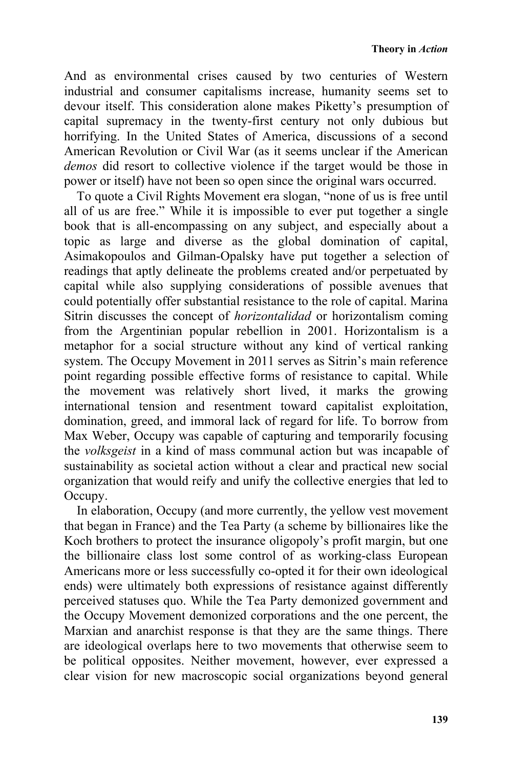And as environmental crises caused by two centuries of Western industrial and consumer capitalisms increase, humanity seems set to devour itself. This consideration alone makes Piketty's presumption of capital supremacy in the twenty-first century not only dubious but horrifying. In the United States of America, discussions of a second American Revolution or Civil War (as it seems unclear if the American *demos* did resort to collective violence if the target would be those in power or itself) have not been so open since the original wars occurred.

To quote a Civil Rights Movement era slogan, "none of us is free until all of us are free." While it is impossible to ever put together a single book that is all-encompassing on any subject, and especially about a topic as large and diverse as the global domination of capital, Asimakopoulos and Gilman-Opalsky have put together a selection of readings that aptly delineate the problems created and/or perpetuated by capital while also supplying considerations of possible avenues that could potentially offer substantial resistance to the role of capital. Marina Sitrin discusses the concept of *horizontalidad* or horizontalism coming from the Argentinian popular rebellion in 2001. Horizontalism is a metaphor for a social structure without any kind of vertical ranking system. The Occupy Movement in 2011 serves as Sitrin's main reference point regarding possible effective forms of resistance to capital. While the movement was relatively short lived, it marks the growing international tension and resentment toward capitalist exploitation, domination, greed, and immoral lack of regard for life. To borrow from Max Weber, Occupy was capable of capturing and temporarily focusing the *volksgeist* in a kind of mass communal action but was incapable of sustainability as societal action without a clear and practical new social organization that would reify and unify the collective energies that led to Occupy.

In elaboration, Occupy (and more currently, the yellow vest movement that began in France) and the Tea Party (a scheme by billionaires like the Koch brothers to protect the insurance oligopoly's profit margin, but one the billionaire class lost some control of as working-class European Americans more or less successfully co-opted it for their own ideological ends) were ultimately both expressions of resistance against differently perceived statuses quo. While the Tea Party demonized government and the Occupy Movement demonized corporations and the one percent, the Marxian and anarchist response is that they are the same things. There are ideological overlaps here to two movements that otherwise seem to be political opposites. Neither movement, however, ever expressed a clear vision for new macroscopic social organizations beyond general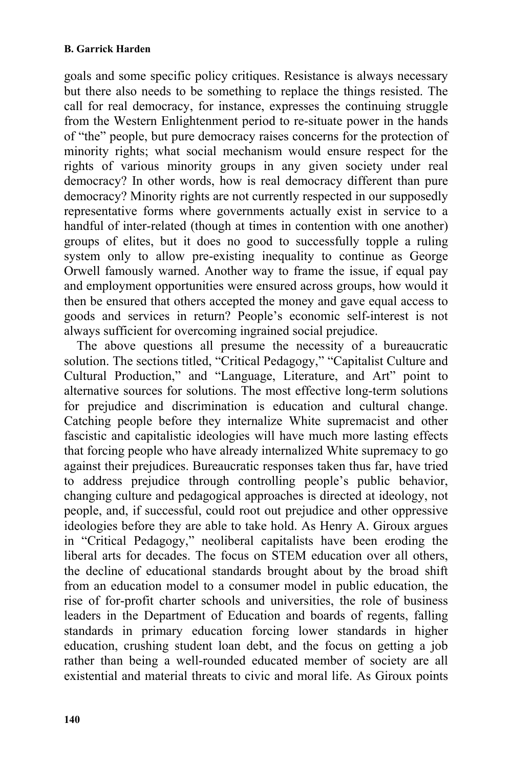goals and some specific policy critiques. Resistance is always necessary but there also needs to be something to replace the things resisted. The call for real democracy, for instance, expresses the continuing struggle from the Western Enlightenment period to re-situate power in the hands of "the" people, but pure democracy raises concerns for the protection of minority rights; what social mechanism would ensure respect for the rights of various minority groups in any given society under real democracy? In other words, how is real democracy different than pure democracy? Minority rights are not currently respected in our supposedly representative forms where governments actually exist in service to a handful of inter-related (though at times in contention with one another) groups of elites, but it does no good to successfully topple a ruling system only to allow pre-existing inequality to continue as George Orwell famously warned. Another way to frame the issue, if equal pay and employment opportunities were ensured across groups, how would it then be ensured that others accepted the money and gave equal access to goods and services in return? People's economic self-interest is not always sufficient for overcoming ingrained social prejudice.

The above questions all presume the necessity of a bureaucratic solution. The sections titled, "Critical Pedagogy," "Capitalist Culture and Cultural Production," and "Language, Literature, and Art" point to alternative sources for solutions. The most effective long-term solutions for prejudice and discrimination is education and cultural change. Catching people before they internalize White supremacist and other fascistic and capitalistic ideologies will have much more lasting effects that forcing people who have already internalized White supremacy to go against their prejudices. Bureaucratic responses taken thus far, have tried to address prejudice through controlling people's public behavior, changing culture and pedagogical approaches is directed at ideology, not people, and, if successful, could root out prejudice and other oppressive ideologies before they are able to take hold. As Henry A. Giroux argues in "Critical Pedagogy," neoliberal capitalists have been eroding the liberal arts for decades. The focus on STEM education over all others, the decline of educational standards brought about by the broad shift from an education model to a consumer model in public education, the rise of for-profit charter schools and universities, the role of business leaders in the Department of Education and boards of regents, falling standards in primary education forcing lower standards in higher education, crushing student loan debt, and the focus on getting a job rather than being a well-rounded educated member of society are all existential and material threats to civic and moral life. As Giroux points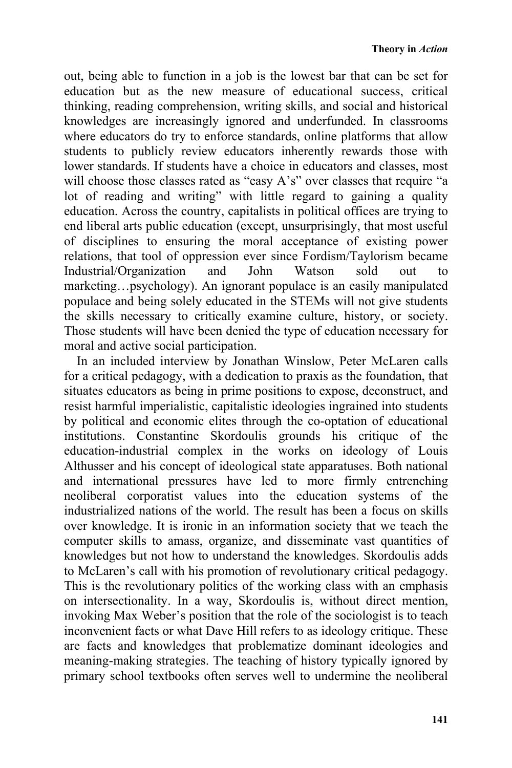out, being able to function in a job is the lowest bar that can be set for education but as the new measure of educational success, critical thinking, reading comprehension, writing skills, and social and historical knowledges are increasingly ignored and underfunded. In classrooms where educators do try to enforce standards, online platforms that allow students to publicly review educators inherently rewards those with lower standards. If students have a choice in educators and classes, most will choose those classes rated as "easy A's" over classes that require "a lot of reading and writing" with little regard to gaining a quality education. Across the country, capitalists in political offices are trying to end liberal arts public education (except, unsurprisingly, that most useful of disciplines to ensuring the moral acceptance of existing power relations, that tool of oppression ever since Fordism/Taylorism became Industrial/Organization and John Watson sold out to marketing…psychology). An ignorant populace is an easily manipulated populace and being solely educated in the STEMs will not give students the skills necessary to critically examine culture, history, or society. Those students will have been denied the type of education necessary for moral and active social participation.

In an included interview by Jonathan Winslow, Peter McLaren calls for a critical pedagogy, with a dedication to praxis as the foundation, that situates educators as being in prime positions to expose, deconstruct, and resist harmful imperialistic, capitalistic ideologies ingrained into students by political and economic elites through the co-optation of educational institutions. Constantine Skordoulis grounds his critique of the education-industrial complex in the works on ideology of Louis Althusser and his concept of ideological state apparatuses. Both national and international pressures have led to more firmly entrenching neoliberal corporatist values into the education systems of the industrialized nations of the world. The result has been a focus on skills over knowledge. It is ironic in an information society that we teach the computer skills to amass, organize, and disseminate vast quantities of knowledges but not how to understand the knowledges. Skordoulis adds to McLaren's call with his promotion of revolutionary critical pedagogy. This is the revolutionary politics of the working class with an emphasis on intersectionality. In a way, Skordoulis is, without direct mention, invoking Max Weber's position that the role of the sociologist is to teach inconvenient facts or what Dave Hill refers to as ideology critique. These are facts and knowledges that problematize dominant ideologies and meaning-making strategies. The teaching of history typically ignored by primary school textbooks often serves well to undermine the neoliberal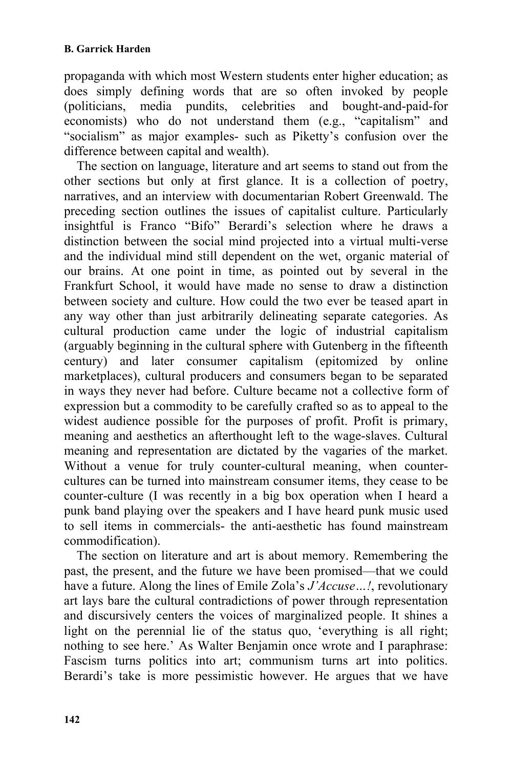propaganda with which most Western students enter higher education; as does simply defining words that are so often invoked by people (politicians, media pundits, celebrities and bought-and-paid-for economists) who do not understand them (e.g., "capitalism" and "socialism" as major examples- such as Piketty's confusion over the difference between capital and wealth).

The section on language, literature and art seems to stand out from the other sections but only at first glance. It is a collection of poetry, narratives, and an interview with documentarian Robert Greenwald. The preceding section outlines the issues of capitalist culture. Particularly insightful is Franco "Bifo" Berardi's selection where he draws a distinction between the social mind projected into a virtual multi-verse and the individual mind still dependent on the wet, organic material of our brains. At one point in time, as pointed out by several in the Frankfurt School, it would have made no sense to draw a distinction between society and culture. How could the two ever be teased apart in any way other than just arbitrarily delineating separate categories. As cultural production came under the logic of industrial capitalism (arguably beginning in the cultural sphere with Gutenberg in the fifteenth century) and later consumer capitalism (epitomized by online marketplaces), cultural producers and consumers began to be separated in ways they never had before. Culture became not a collective form of expression but a commodity to be carefully crafted so as to appeal to the widest audience possible for the purposes of profit. Profit is primary, meaning and aesthetics an afterthought left to the wage-slaves. Cultural meaning and representation are dictated by the vagaries of the market. Without a venue for truly counter-cultural meaning, when countercultures can be turned into mainstream consumer items, they cease to be counter-culture (I was recently in a big box operation when I heard a punk band playing over the speakers and I have heard punk music used to sell items in commercials- the anti-aesthetic has found mainstream commodification).

The section on literature and art is about memory. Remembering the past, the present, and the future we have been promised—that we could have a future. Along the lines of Emile Zola's *J'Accuse…!*, revolutionary art lays bare the cultural contradictions of power through representation and discursively centers the voices of marginalized people. It shines a light on the perennial lie of the status quo, 'everything is all right; nothing to see here.' As Walter Benjamin once wrote and I paraphrase: Fascism turns politics into art; communism turns art into politics. Berardi's take is more pessimistic however. He argues that we have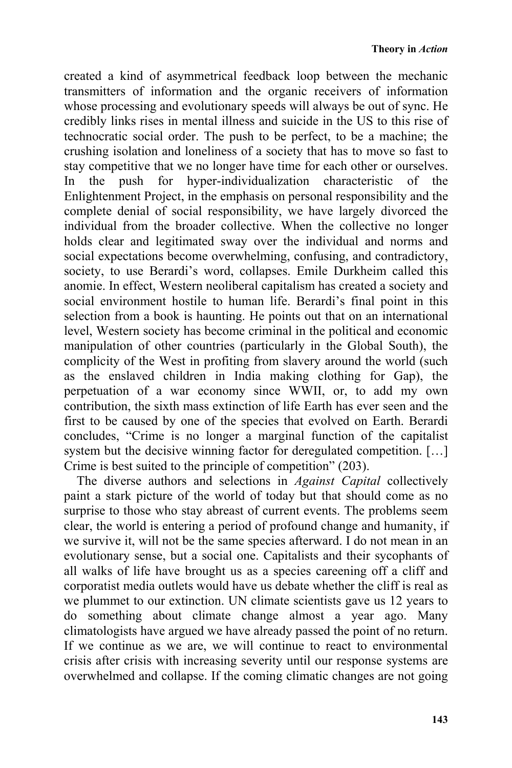created a kind of asymmetrical feedback loop between the mechanic transmitters of information and the organic receivers of information whose processing and evolutionary speeds will always be out of sync. He credibly links rises in mental illness and suicide in the US to this rise of technocratic social order. The push to be perfect, to be a machine; the crushing isolation and loneliness of a society that has to move so fast to stay competitive that we no longer have time for each other or ourselves. In the push for hyper-individualization characteristic of the Enlightenment Project, in the emphasis on personal responsibility and the complete denial of social responsibility, we have largely divorced the individual from the broader collective. When the collective no longer holds clear and legitimated sway over the individual and norms and social expectations become overwhelming, confusing, and contradictory, society, to use Berardi's word, collapses. Emile Durkheim called this anomie. In effect, Western neoliberal capitalism has created a society and social environment hostile to human life. Berardi's final point in this selection from a book is haunting. He points out that on an international level, Western society has become criminal in the political and economic manipulation of other countries (particularly in the Global South), the complicity of the West in profiting from slavery around the world (such as the enslaved children in India making clothing for Gap), the perpetuation of a war economy since WWII, or, to add my own contribution, the sixth mass extinction of life Earth has ever seen and the first to be caused by one of the species that evolved on Earth. Berardi concludes, "Crime is no longer a marginal function of the capitalist system but the decisive winning factor for deregulated competition. […] Crime is best suited to the principle of competition" (203).

The diverse authors and selections in *Against Capital* collectively paint a stark picture of the world of today but that should come as no surprise to those who stay abreast of current events. The problems seem clear, the world is entering a period of profound change and humanity, if we survive it, will not be the same species afterward. I do not mean in an evolutionary sense, but a social one. Capitalists and their sycophants of all walks of life have brought us as a species careening off a cliff and corporatist media outlets would have us debate whether the cliff is real as we plummet to our extinction. UN climate scientists gave us 12 years to do something about climate change almost a year ago. Many climatologists have argued we have already passed the point of no return. If we continue as we are, we will continue to react to environmental crisis after crisis with increasing severity until our response systems are overwhelmed and collapse. If the coming climatic changes are not going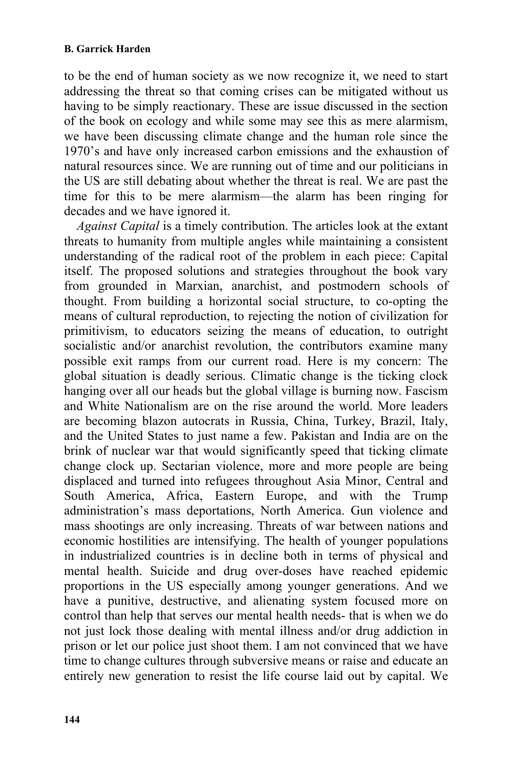to be the end of human society as we now recognize it, we need to start addressing the threat so that coming crises can be mitigated without us having to be simply reactionary. These are issue discussed in the section of the book on ecology and while some may see this as mere alarmism, we have been discussing climate change and the human role since the 1970's and have only increased carbon emissions and the exhaustion of natural resources since. We are running out of time and our politicians in the US are still debating about whether the threat is real. We are past the time for this to be mere alarmism—the alarm has been ringing for decades and we have ignored it.

*Against Capital* is a timely contribution. The articles look at the extant threats to humanity from multiple angles while maintaining a consistent understanding of the radical root of the problem in each piece: Capital itself. The proposed solutions and strategies throughout the book vary from grounded in Marxian, anarchist, and postmodern schools of thought. From building a horizontal social structure, to co-opting the means of cultural reproduction, to rejecting the notion of civilization for primitivism, to educators seizing the means of education, to outright socialistic and/or anarchist revolution, the contributors examine many possible exit ramps from our current road. Here is my concern: The global situation is deadly serious. Climatic change is the ticking clock hanging over all our heads but the global village is burning now. Fascism and White Nationalism are on the rise around the world. More leaders are becoming blazon autocrats in Russia, China, Turkey, Brazil, Italy, and the United States to just name a few. Pakistan and India are on the brink of nuclear war that would significantly speed that ticking climate change clock up. Sectarian violence, more and more people are being displaced and turned into refugees throughout Asia Minor, Central and South America, Africa, Eastern Europe, and with the Trump administration's mass deportations, North America. Gun violence and mass shootings are only increasing. Threats of war between nations and economic hostilities are intensifying. The health of younger populations in industrialized countries is in decline both in terms of physical and mental health. Suicide and drug over-doses have reached epidemic proportions in the US especially among younger generations. And we have a punitive, destructive, and alienating system focused more on control than help that serves our mental health needs- that is when we do not just lock those dealing with mental illness and/or drug addiction in prison or let our police just shoot them. I am not convinced that we have time to change cultures through subversive means or raise and educate an entirely new generation to resist the life course laid out by capital. We